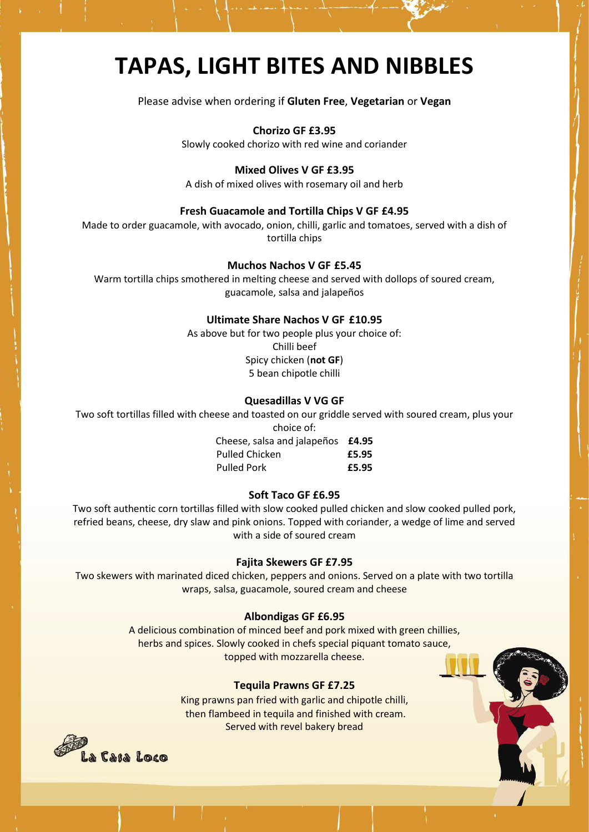# **TAPAS, LIGHT BITES AND NIBBLES**

Please advise when ordering if **Gluten Free**, **Vegetarian** or **Vegan**

**Chorizo GF £3.95**

Slowly cooked chorizo with red wine and coriander

## **Mixed Olives V GF £3.95**

A dish of mixed olives with rosemary oil and herb

## **Fresh Guacamole and Tortilla Chips V GF £4.95**

Made to order guacamole, with avocado, onion, chilli, garlic and tomatoes, served with a dish of tortilla chips

## **Muchos Nachos V GF £5.45**

Warm tortilla chips smothered in melting cheese and served with dollops of soured cream, guacamole, salsa and jalapeños

# **Ultimate Share Nachos V GF £10.95**

As above but for two people plus your choice of: Chilli beef Spicy chicken (**not GF**) 5 bean chipotle chilli

## **Quesadillas V VG GF**

Two soft tortillas filled with cheese and toasted on our griddle served with soured cream, plus your choice of:

> Cheese, salsa and jalapeños **£4.95** Pulled Chicken **£5.95** Pulled Pork **£5.95**

#### **Soft Taco GF £6.95**

Two soft authentic corn tortillas filled with slow cooked pulled chicken and slow cooked pulled pork, refried beans, cheese, dry slaw and pink onions. Topped with coriander, a wedge of lime and served with a side of soured cream

#### **Fajita Skewers GF £7.95**

Two skewers with marinated diced chicken, peppers and onions. Served on a plate with two tortilla wraps, salsa, guacamole, soured cream and cheese

#### **Albondigas GF £6.95**

A delicious combination of minced beef and pork mixed with green chillies, herbs and spices. Slowly cooked in chefs special piquant tomato sauce, topped with mozzarella cheese.

## **Tequila Prawns GF £7.25**

King prawns pan fried with garlic and chipotle chilli, then flambeed in tequila and finished with cream. Served with revel bakery bread